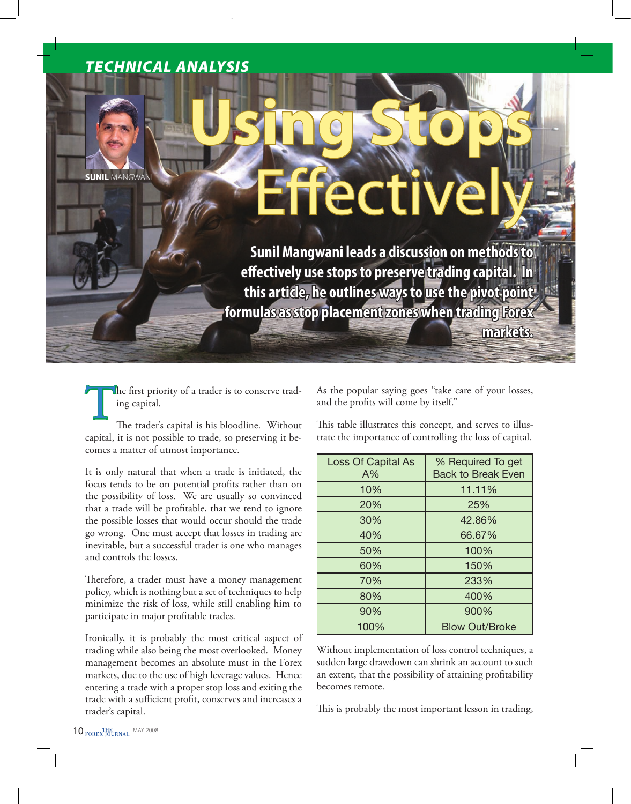# *TECHNICAL ANALYSIS*

**SUNIL** MANGWANI

# **Using Stops**  Effectively

**Sunil Mangwani leads a discussion on methods to effectively use stops to preserve trading capital. In this article, he outlines ways to use the pivot point formulas as stop placement zones when trading Forex** 

The first priority of a trader is to conserve trading capital.

The trader's capital is his bloodline. Without capital, it is not possible to trade, so preserving it becomes a matter of utmost importance.

It is only natural that when a trade is initiated, the focus tends to be on potential profits rather than on the possibility of loss. We are usually so convinced that a trade will be profitable, that we tend to ignore the possible losses that would occur should the trade go wrong. One must accept that losses in trading are inevitable, but a successful trader is one who manages and controls the losses.

Therefore, a trader must have a money management policy, which is nothing but a set of techniques to help minimize the risk of loss, while still enabling him to participate in major profitable trades.

Ironically, it is probably the most critical aspect of trading while also being the most overlooked. Money management becomes an absolute must in the Forex markets, due to the use of high leverage values. Hence entering a trade with a proper stop loss and exiting the trade with a sufficient profit, conserves and increases a trader's capital.

As the popular saying goes "take care of your losses, and the profits will come by itself."

**markets.**

This table illustrates this concept, and serves to illustrate the importance of controlling the loss of capital.

| <b>Loss Of Capital As</b><br>A% | % Required To get<br><b>Back to Break Even</b> |
|---------------------------------|------------------------------------------------|
| 10%                             | 11.11%                                         |
| 20%                             | 25%                                            |
| 30%                             | 42.86%                                         |
| 40%                             | 66.67%                                         |
| 50%                             | 100%                                           |
| 60%                             | 150%                                           |
| 70%                             | 233%                                           |
| 80%                             | 400%                                           |
| 90%                             | 900%                                           |
| 100%                            | <b>Blow Out/Broke</b>                          |

Without implementation of loss control techniques, a sudden large drawdown can shrink an account to such an extent, that the possibility of attaining profitability becomes remote.

This is probably the most important lesson in trading,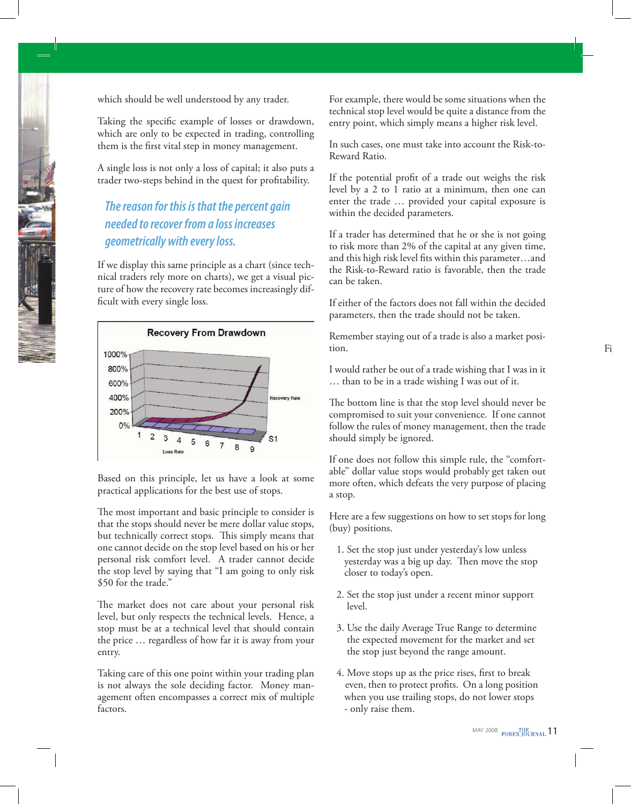which should be well understood by any trader.

Taking the specific example of losses or drawdown, which are only to be expected in trading, controlling them is the first vital step in money management.

A single loss is not only a loss of capital; it also puts a trader two-steps behind in the quest for profitability.

## *The reason for this is that the percent gain needed to recover from a loss increases geometrically with every loss.*

If we display this same principle as a chart (since technical traders rely more on charts), we get a visual picture of how the recovery rate becomes increasingly difficult with every single loss.



Based on this principle, let us have a look at some practical applications for the best use of stops.

The most important and basic principle to consider is that the stops should never be mere dollar value stops, but technically correct stops. This simply means that one cannot decide on the stop level based on his or her personal risk comfort level. A trader cannot decide the stop level by saying that "I am going to only risk \$50 for the trade."

The market does not care about your personal risk level, but only respects the technical levels. Hence, a stop must be at a technical level that should contain the price … regardless of how far it is away from your entry.

Taking care of this one point within your trading plan is not always the sole deciding factor. Money management often encompasses a correct mix of multiple factors.

For example, there would be some situations when the technical stop level would be quite a distance from the entry point, which simply means a higher risk level.

In such cases, one must take into account the Risk-to-Reward Ratio.

If the potential profit of a trade out weighs the risk level by a 2 to 1 ratio at a minimum, then one can enter the trade … provided your capital exposure is within the decided parameters.

If a trader has determined that he or she is not going to risk more than 2% of the capital at any given time, and this high risk level fits within this parameter…and the Risk-to-Reward ratio is favorable, then the trade can be taken.

If either of the factors does not fall within the decided parameters, then the trade should not be taken.

Remember staying out of a trade is also a market position.

I would rather be out of a trade wishing that I was in it … than to be in a trade wishing I was out of it.

The bottom line is that the stop level should never be compromised to suit your convenience. If one cannot follow the rules of money management, then the trade should simply be ignored.

If one does not follow this simple rule, the "comfortable" dollar value stops would probably get taken out more often, which defeats the very purpose of placing a stop.

Here are a few suggestions on how to set stops for long (buy) positions.

- 1. Set the stop just under yesterday's low unless yesterday was a big up day. Then move the stop closer to today's open.
- 2. Set the stop just under a recent minor support level.
- 3. Use the daily Average True Range to determine the expected movement for the market and set the stop just beyond the range amount.
- 4. Move stops up as the price rises, first to break even, then to protect profits. On a long position when you use trailing stops, do not lower stops - only raise them.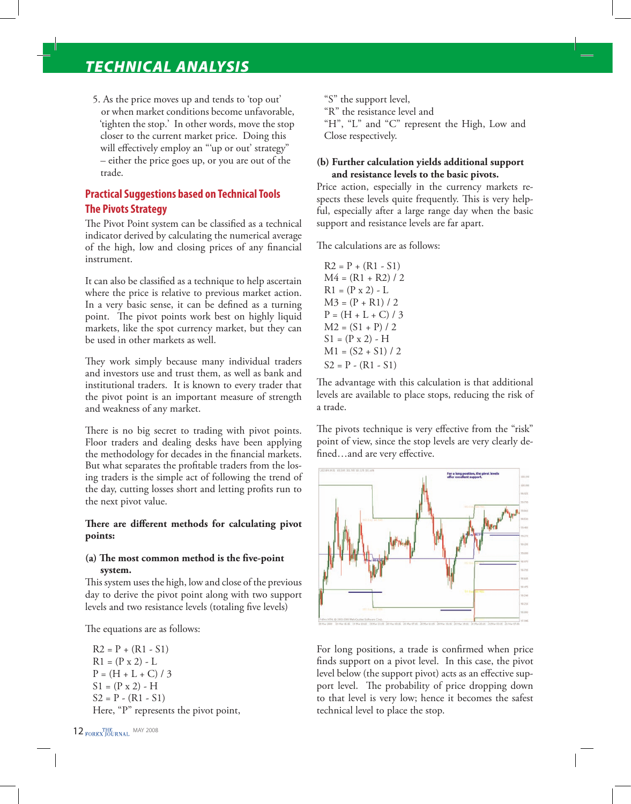## *TECHNICAL ANALYSIS*

5. As the price moves up and tends to 'top out' or when market conditions become unfavorable, 'tighten the stop.' In other words, move the stop closer to the current market price. Doing this will effectively employ an "'up or out' strategy" – either the price goes up, or you are out of the trade.

## **Practical Suggestions based on Technical Tools The Pivots Strategy**

The Pivot Point system can be classified as a technical indicator derived by calculating the numerical average of the high, low and closing prices of any financial instrument.

It can also be classified as a technique to help ascertain where the price is relative to previous market action. In a very basic sense, it can be defined as a turning point. The pivot points work best on highly liquid markets, like the spot currency market, but they can be used in other markets as well.

They work simply because many individual traders and investors use and trust them, as well as bank and institutional traders. It is known to every trader that the pivot point is an important measure of strength and weakness of any market.

There is no big secret to trading with pivot points. Floor traders and dealing desks have been applying the methodology for decades in the financial markets. But what separates the profitable traders from the losing traders is the simple act of following the trend of the day, cutting losses short and letting profits run to the next pivot value.

#### **There are different methods for calculating pivot points:**

#### **(a) The most common method is the five-point system.**

This system uses the high, low and close of the previous day to derive the pivot point along with two support levels and two resistance levels (totaling five levels)

The equations are as follows:

 $R2 = P + (R1 - S1)$  $R1 = (P \times 2) - L$  $P = (H + L + C)/3$  $S1 = (P \times 2) - H$  $S2 = P - (R1 - S1)$ Here, "P" represents the pivot point, "S" the support level,

"R" the resistance level and

"H", "L" and "C" represent the High, Low and Close respectively.

#### **(b) Further calculation yields additional support and resistance levels to the basic pivots.**

Price action, especially in the currency markets respects these levels quite frequently. This is very helpful, especially after a large range day when the basic support and resistance levels are far apart.

The calculations are as follows:

 $R2 = P + (R1 - S1)$  $M4 = (R1 + R2)/2$  $R1 = (P \times 2) - L$  $M3 = (P + R1)/2$  $P = (H + L + C) / 3$  $M2 = (S1 + P)/2$  $S1 = (P \times 2) - H$  $M1 = (S2 + S1) / 2$  $S2 = P - (R1 - S1)$ 

The advantage with this calculation is that additional levels are available to place stops, reducing the risk of a trade.

The pivots technique is very effective from the "risk" point of view, since the stop levels are very clearly defined…and are very effective.



For long positions, a trade is confirmed when price finds support on a pivot level. In this case, the pivot level below (the support pivot) acts as an effective support level. The probability of price dropping down to that level is very low; hence it becomes the safest technical level to place the stop.